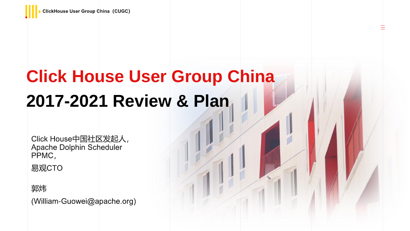# **Click House User Group China** 2017-2021 Review & Plan

壬

Click House中国社区发起人, Apache Dolphin Scheduler PPMC,

易观CTO

郭炜

(William-Guowei@apache.org)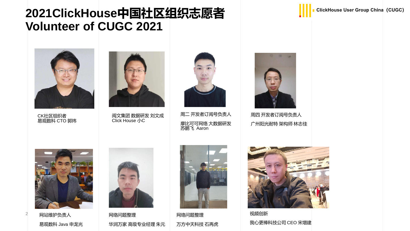### **2021ClickHouse中国社区组织志愿者 Volunteer of CUGC 2021**



CK社区组织者 易观数科 CTO 郭炜



阅文集团 数据研发 刘文成 Click House 小C



周二 开发者订阅号负责人 摩比可可网络 大数据研发 苏鹏飞 Aaron



周四 开发者订阅号负责人 广州阳光耐特 架构师 林志佳



网站维护负责人 易观数科 Java 申龙光

2



网络问题整理 华润万家 高级专业经理 朱元



网络问题整理 万方中天科技 石再虎



视频创新 我心更棒科技公司 CEO 宋增建

#### **ClickHouse User Group China (CUGC)**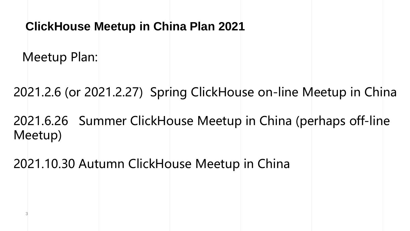### **ClickHouse Meetup in China Plan 2021**

Meetup Plan:

3

2021.2.6 (or 2021.2.27) Spring ClickHouse on-line Meetup in China

2021.6.26 Summer ClickHouse Meetup in China (perhaps off-line Meetup)

2021.10.30 Autumn ClickHouse Meetup in China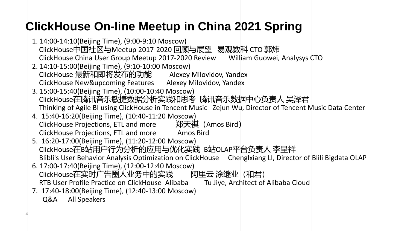## **ClickHouse On-line Meetup in China 2021 Spring**

- 1. 14:00-14:10(Beijing Time), (9:00-9:10 Moscow) ClickHouse中国社区与Meetup 2017-2020 回顾与展望 易观数科 CTO 郭炜 ClickHouse China User Group Meetup 2017-2020 Review William Guowei, Analysys CTO
- 2. 14:10-15:00(Beijing Time), (9:10-10:00 Moscow) ClickHouse 最新和即将发布的功能 Alexey Milovidov, Yandex ClickHouse New&upcoming Features Alexey Milovidov, Yandex
- 3. 15:00-15:40(Beijing Time), (10:00-10:40 Moscow) ClickHouse在腾讯音乐敏捷数据分析实践和思考 腾讯音乐数据中心负责人 吴泽君 Thinking of Agile BI using ClickHouse in Tencent Music Zejun Wu, Director of Tencent Music Data Center
- 4. 15:40-16:20(Beijing Time), (10:40-11:20 Moscow) ClickHouse Projections, ETL and more れた 半天祺 (Amos Bird) ClickHouse Projections, ETL and more Amos Bird
- 5. 16:20-17:00(Beijing Time), (11:20-12:00 Moscow) ClickHouse在B站用户行为分析的应用与优化实践 B站OLAP平台负责人 李呈祥 Blibli's User Behavior Analysis Optimization on ClickHouse Chenglxiang LI, Director of Blili Bigdata OLAP
- 6. 17:00-17:40(Beijing Time), (12:00-12:40 Moscow) ClickHouse在实时广告圈人业务中的实践 阿里云 涂继业 (和君) RTB User Profile Practice on ClickHouse Alibaba Tu Jiye, Architect of Alibaba Cloud
- 7. 17:40-18:00(Beijing Time), (12:40-13:00 Moscow) Q&A All Speakers

4